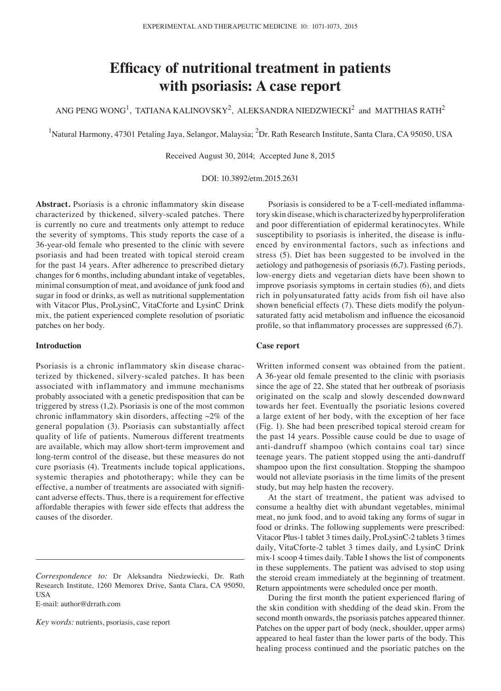# **Efficacy of nutritional treatment in patients with psoriasis: A case report**

ANG PENG WONG<sup>1</sup>, TATIANA KALINOVSKY<sup>2</sup>, ALEKSANDRA NIEDZWIECKI<sup>2</sup> and MATTHIAS RATH<sup>2</sup>

<sup>1</sup>Natural Harmony, 47301 Petaling Jaya, Selangor, Malaysia; <sup>2</sup>Dr. Rath Research Institute, Santa Clara, CA 95050, USA

Received August 30, 2014; Accepted June 8, 2015

DOI: 10.3892/etm.2015.2631

**Abstract.** Psoriasis is a chronic inflammatory skin disease characterized by thickened, silvery‑scaled patches. There is currently no cure and treatments only attempt to reduce the severity of symptoms. This study reports the case of a 36‑year‑old female who presented to the clinic with severe psoriasis and had been treated with topical steroid cream for the past 14 years. After adherence to prescribed dietary changes for 6 months, including abundant intake of vegetables, minimal consumption of meat, and avoidance of junk food and sugar in food or drinks, as well as nutritional supplementation with Vitacor Plus, ProLysinC, VitaCforte and LysinC Drink mix, the patient experienced complete resolution of psoriatic patches on her body.

## **Introduction**

Psoriasis is a chronic inflammatory skin disease characterized by thickened, silvery‑scaled patches. It has been associated with inflammatory and immune mechanisms probably associated with a genetic predisposition that can be triggered by stress (1,2). Psoriasis is one of the most common chronic inflammatory skin disorders, affecting  $\sim$ 2% of the general population (3). Psoriasis can substantially affect quality of life of patients. Numerous different treatments are available, which may allow short-term improvement and long‑term control of the disease, but these measures do not cure psoriasis (4). Treatments include topical applications, systemic therapies and phototherapy; while they can be effective, a number of treatments are associated with significant adverse effects. Thus, there is a requirement for effective affordable therapies with fewer side effects that address the causes of the disorder.

E‑mail: author@drrath.com

*Key words:* nutrients, psoriasis, case report

Psoriasis is considered to be a T-cell-mediated inflammatory skin disease, which is characterized by hyperproliferation and poor differentiation of epidermal keratinocytes. While susceptibility to psoriasis is inherited, the disease is influenced by environmental factors, such as infections and stress (5). Diet has been suggested to be involved in the aetiology and pathogenesis of psoriasis (6,7). Fasting periods, low‑energy diets and vegetarian diets have been shown to improve psoriasis symptoms in certain studies (6), and diets rich in polyunsaturated fatty acids from fish oil have also shown beneficial effects (7). These diets modify the polyunsaturated fatty acid metabolism and influence the eicosanoid profile, so that inflammatory processes are suppressed (6,7).

## **Case report**

Written informed consent was obtained from the patient. A 36‑year old female presented to the clinic with psoriasis since the age of 22. She stated that her outbreak of psoriasis originated on the scalp and slowly descended downward towards her feet. Eventually the psoriatic lesions covered a large extent of her body, with the exception of her face (Fig. 1). She had been prescribed topical steroid cream for the past 14 years. Possible cause could be due to usage of anti‑dandruff shampoo (which contains coal tar) since teenage years. The patient stopped using the anti-dandruff shampoo upon the first consultation. Stopping the shampoo would not alleviate psoriasis in the time limits of the present study, but may help hasten the recovery.

At the start of treatment, the patient was advised to consume a healthy diet with abundant vegetables, minimal meat, no junk food, and to avoid taking any forms of sugar in food or drinks. The following supplements were prescribed: Vitacor Plus‑1 tablet 3 times daily, ProLysinC‑2 tablets 3 times daily, VitaCforte-2 tablet 3 times daily, and LysinC Drink mix‑1 scoop 4 times daily. Table I shows the list of components in these supplements. The patient was advised to stop using the steroid cream immediately at the beginning of treatment. Return appointments were scheduled once per month.

During the first month the patient experienced flaring of the skin condition with shedding of the dead skin. From the second month onwards, the psoriasis patches appeared thinner. Patches on the upper part of body (neck, shoulder, upper arms) appeared to heal faster than the lower parts of the body. This healing process continued and the psoriatic patches on the

*Correspondence to:* Dr Aleksandra Niedzwiecki, Dr. Rath Research Institute, 1260 Memorex Drive, Santa Clara, CA 95050, USA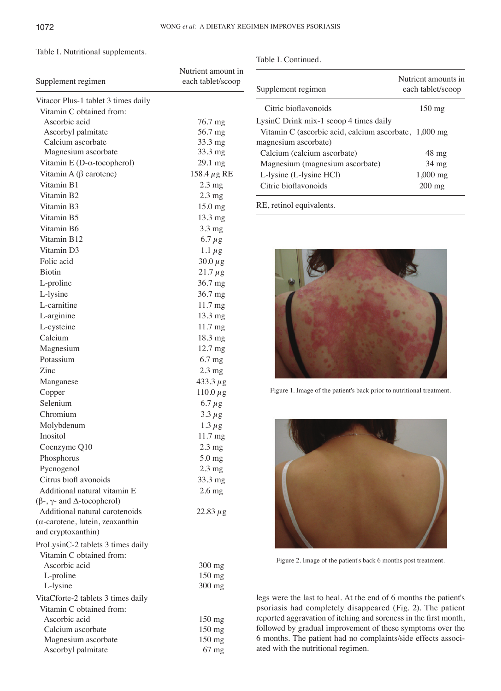Table I. Continued.

# Table I. Nutritional supplements.

| Supplement regimen                      | Nutrient amount in<br>each tablet/scoop |
|-----------------------------------------|-----------------------------------------|
| Vitacor Plus-1 tablet 3 times daily     |                                         |
| Vitamin C obtained from:                |                                         |
| Ascorbic acid                           | 76.7 mg                                 |
| Ascorbyl palmitate                      | 56.7 mg                                 |
| Calcium ascorbate                       | 33.3 mg                                 |
| Magnesium ascorbate                     | 33.3 mg                                 |
| Vitamin E (D- $\alpha$ -tocopherol)     | 29.1 mg                                 |
| Vitamin A ( $\beta$ carotene)           | 158.4 $\mu$ g RE                        |
| Vitamin B1                              | $2.3 \text{ mg}$                        |
| Vitamin B2                              | $2.3 \text{ mg}$                        |
| Vitamin B3                              | 15.0 mg                                 |
| Vitamin B5                              | 13.3 mg                                 |
| Vitamin B6                              | $3.3 \text{ mg}$                        |
| Vitamin B12                             | $6.7 \mu g$                             |
| Vitamin D3                              | 1.1 $\mu$ g                             |
| Folic acid                              | $30.0 \,\mu g$                          |
| <b>Biotin</b>                           | $21.7 \,\mu g$                          |
| L-proline                               | 36.7 mg                                 |
| L-lysine                                | 36.7 mg                                 |
| L-carnitine                             | 11.7 mg                                 |
| L-arginine                              | 13.3 mg                                 |
| L-cysteine                              | 11.7 mg                                 |
| Calcium                                 | 18.3 mg                                 |
| Magnesium                               | $12.7 \text{ mg}$                       |
| Potassium                               | $6.7$ mg                                |
| Zinc                                    | $2.3 \text{ mg}$                        |
| Manganese                               | $433.3 \,\mu g$                         |
| Copper                                  | $110.0 \,\mu g$                         |
| Selenium                                | 6.7 $\mu$ g                             |
| Chromium                                | $3.3 \mu g$                             |
| Molybdenum                              | $1.3 \mu g$                             |
| Inositol                                | 11.7 mg                                 |
| Coenzyme Q10                            | $2.3 \text{ mg}$                        |
| Phosphorus                              | 5.0 mg                                  |
| Pycnogenol                              | $2.3 \text{ mg}$                        |
| Citrus biofl avonoids                   | 33.3 mg                                 |
| Additional natural vitamin E            | $2.6$ mg                                |
| $(β-, γ- and Δ-tocopherol)$             |                                         |
| Additional natural carotenoids          | $22.83 \,\mu g$                         |
| $(\alpha$ -carotene, lutein, zeaxanthin |                                         |
| and cryptoxanthin)                      |                                         |
| ProLysinC-2 tablets 3 times daily       |                                         |
| Vitamin C obtained from:                |                                         |
| Ascorbic acid                           | $300$ mg                                |
| L-proline                               | 150 mg                                  |
| L-lysine                                | $300$ mg                                |
| VitaCforte-2 tablets 3 times daily      |                                         |
| Vitamin C obtained from:                |                                         |
| Ascorbic acid                           | $150 \text{ mg}$                        |
| Calcium ascorbate                       | $150$ mg                                |
| Magnesium ascorbate                     | 150 mg                                  |
| Ascorbyl palmitate                      | $67$ mg                                 |

| Supplement regimen                                    | Nutrient amounts in<br>each tablet/scoop |
|-------------------------------------------------------|------------------------------------------|
| Citric bioflavonoids                                  | $150 \text{ mg}$                         |
| LysinC Drink mix-1 scoop 4 times daily                |                                          |
| Vitamin C (ascorbic acid, calcium ascorbate, 1,000 mg |                                          |
| magnesium ascorbate)                                  |                                          |
| Calcium (calcium ascorbate)                           | $48 \text{ mg}$                          |
| Magnesium (magnesium ascorbate)                       | 34 mg                                    |
| L-lysine (L-lysine HCl)                               | $1,000 \text{ mg}$                       |
| Citric bioflavonoids                                  | $200$ mg                                 |
| RE, retinol equivalents.                              |                                          |



Figure 1. Image of the patient's back prior to nutritional treatment.



Figure 2. Image of the patient's back 6 months post treatment.

legs were the last to heal. At the end of 6 months the patient's psoriasis had completely disappeared (Fig. 2). The patient reported aggravation of itching and soreness in the first month, followed by gradual improvement of these symptoms over the 6 months. The patient had no complaints/side effects associated with the nutritional regimen.